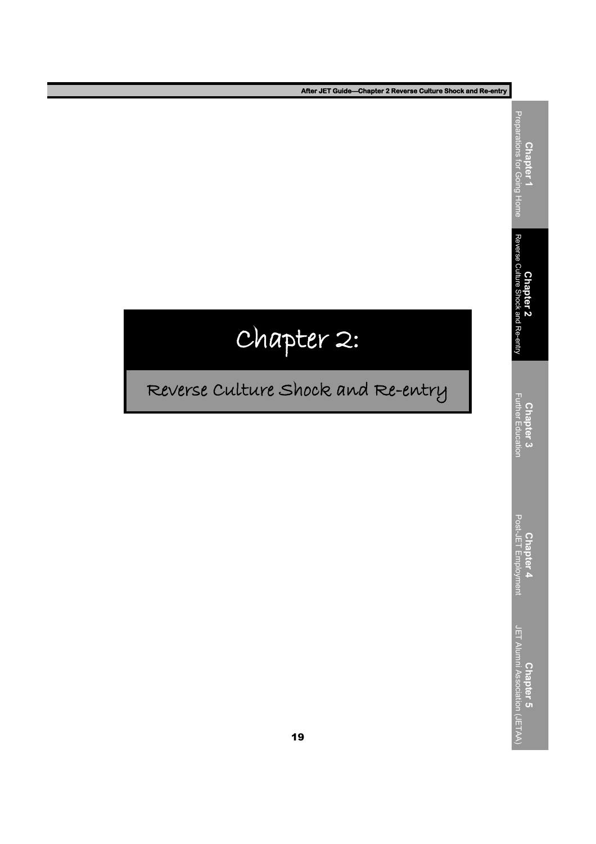**After JET Guide—Chapter 2 Reverse Culture Shock and Re-entry**

# Chapter 2:

## Reverse Culture Shock and Re-entry

**Chapter 5**<br>JET Alumni Association (JETAA) JET Alumni Association (JETAA) **Chapter 4**<br>Post-JET Employment | Post-JET Employment **Chapter 3** Further Education **Chapter 2**<br>Reverse Culture Shock and Re-entry Reverse Culture Shock and Re-entry

**Chapter 1**<br>Preparations for Going Home Preparations for Going Home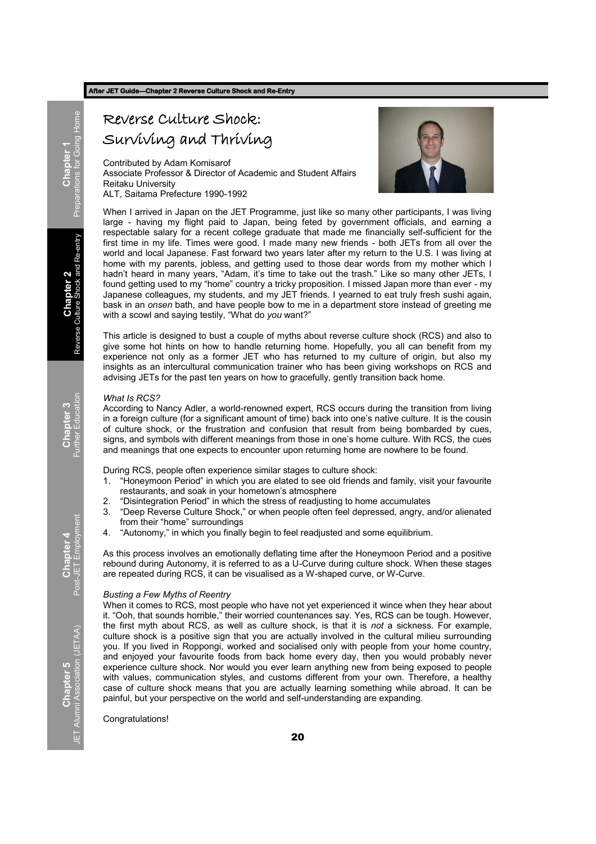#### **After JET Guide—Chapter 2 Reverse Culture Shock and Re-Entry**

## Reverse Culture Shock:

Surviving and Thriving

Contributed by Adam Komisarof Associate Professor & Director of Academic and Student Affairs Reitaku University

ALT, Saitama Prefecture 1990-1992



When I arrived in Japan on the JET Programme, just like so many other participants, I was living large - having my flight paid to Japan, being feted by government officials, and earning a respectable salary for a recent college graduate that made me financially self-sufficient for the first time in my life. Times were good. I made many new friends - both JETs from all over the world and local Japanese. Fast forward two years later after my return to the U.S. I was living at home with my parents, jobless, and getting used to those dear words from my mother which I hadn't heard in many years, "Adam, it's time to take out the trash." Like so many other JETs, I found getting used to my "home" country a tricky proposition. I missed Japan more than ever - my Japanese colleagues, my students, and my JET friends. I yearned to eat truly fresh sushi again, bask in an *onsen* bath, and have people bow to me in a department store instead of greeting me with a scowl and saying testily, "What do you want?"

This article is designed to bust a couple of myths about reverse culture shock (RCS) and also to give some hot hints on how to handle returning home. Hopefully, you all can benefit from my experience not only as a former JET who has returned to my culture of origin, but also my insights as an intercultural communication trainer who has been giving workshops on RCS and advising JETs for the past ten years on how to gracefully, gently transition back home.

#### *What Is RCS?*

According to Nancy Adler, a world-renowned expert, RCS occurs during the transition from living in a foreign culture (for a significant amount of time) back into one's native culture. It is the cousin of culture shock, or the frustration and confusion that result from being bombarded by cues, signs, and symbols with different meanings from those in one's home culture. With RCS, the cues and meanings that one expects to encounter upon returning home are nowhere to be found.

During RCS, people often experience similar stages to culture shock:

- 1. "Honeymoon Period" in which you are elated to see old friends and family, visit your favourite restaurants, and soak in your hometown's atmosphere
- 2. "Disintegration Period" in which the stress of readjusting to home accumulates
- 3. "Deep Reverse Culture Shock," or when people often feel depressed, angry, and/or alienated from their "home" surroundings
- 4. "Autonomy," in which you finally begin to feel readjusted and some equilibrium.

As this process involves an emotionally deflating time after the Honeymoon Period and a positive rebound during Autonomy, it is referred to as a U-Curve during culture shock. When these stages are repeated during RCS, it can be visualised as a W-shaped curve, or W-Curve.

#### *Busting a Few Myths of Reentry*

When it comes to RCS, most people who have not yet experienced it wince when they hear about it. "Ooh, that sounds horrible," their worried countenances say. Yes, RCS can be tough. However, the first myth about RCS, as well as culture shock, is that it is *not* a sickness. For example, culture shock is a positive sign that you are actually involved in the cultural milieu surrounding you. If you lived in Roppongi, worked and socialised only with people from your home country, and enjoyed your favourite foods from back home every day, then you would probably never experience culture shock. Nor would you ever learn anything new from being exposed to people with values, communication styles, and customs different from your own. Therefore, a healthy case of culture shock means that you are actually learning something while abroad. It can be painful, but your perspective on the world and self-understanding are expanding.

#### Congratulations!

**Chapter 4**<br>Post-JET Employment Post-JET Employment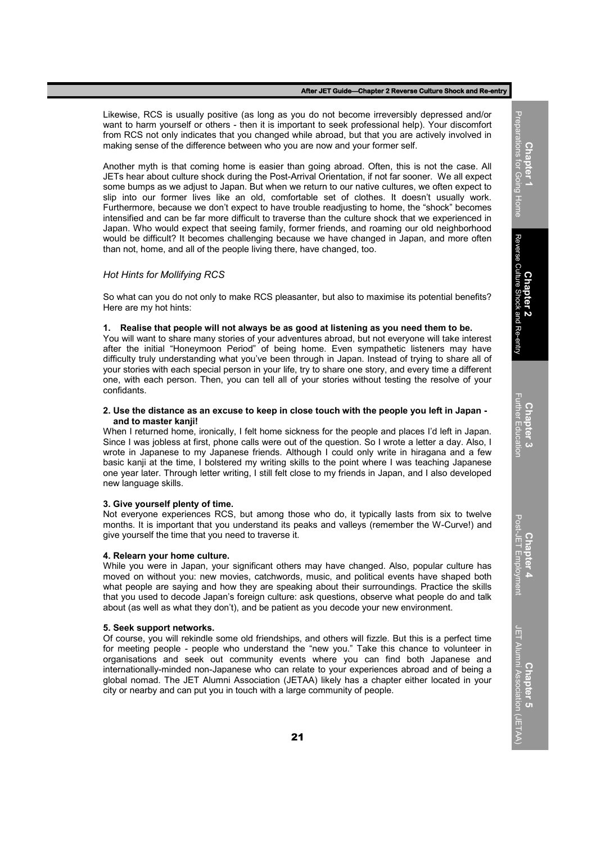#### **After JET Guide—Chapter 2 Reverse Culture Shock and Re-entry**

Likewise, RCS is usually positive (as long as you do not become irreversibly depressed and/or want to harm yourself or others - then it is important to seek professional help). Your discomfort from RCS not only indicates that you changed while abroad, but that you are actively involved in making sense of the difference between who you are now and your former self.

Another myth is that coming home is easier than going abroad. Often, this is not the case. All JETs hear about culture shock during the Post-Arrival Orientation, if not far sooner. We all expect some bumps as we adjust to Japan. But when we return to our native cultures, we often expect to slip into our former lives like an old, comfortable set of clothes. It doesn't usually work. Furthermore, because we don't expect to have trouble readjusting to home, the "shock" becomes intensified and can be far more difficult to traverse than the culture shock that we experienced in Japan. Who would expect that seeing family, former friends, and roaming our old neighborhood would be difficult? It becomes challenging because we have changed in Japan, and more often than not, home, and all of the people living there, have changed, too.

#### *Hot Hints for Mollifying RCS*

So what can you do not only to make RCS pleasanter, but also to maximise its potential benefits? Here are my hot hints:

#### **1. Realise that people will not always be as good at listening as you need them to be.**

You will want to share many stories of your adventures abroad, but not everyone will take interest after the initial "Honeymoon Period" of being home. Even sympathetic listeners may have difficulty truly understanding what you've been through in Japan. Instead of trying to share all of your stories with each special person in your life, try to share one story, and every time a different one, with each person. Then, you can tell all of your stories without testing the resolve of your confidants.

#### **2. Use the distance as an excuse to keep in close touch with the people you left in Japan and to master kanji!**

When I returned home, ironically, I felt home sickness for the people and places I'd left in Japan. Since I was jobless at first, phone calls were out of the question. So I wrote a letter a day. Also, I wrote in Japanese to my Japanese friends. Although I could only write in hiragana and a few basic kanji at the time, I bolstered my writing skills to the point where I was teaching Japanese one year later. Through letter writing, I still felt close to my friends in Japan, and I also developed new language skills.

#### **3. Give yourself plenty of time.**

Not everyone experiences RCS, but among those who do, it typically lasts from six to twelve months. It is important that you understand its peaks and valleys (remember the W-Curve!) and give yourself the time that you need to traverse it.

#### **4. Relearn your home culture.**

While you were in Japan, your significant others may have changed. Also, popular culture has moved on without you: new movies, catchwords, music, and political events have shaped both what people are saying and how they are speaking about their surroundings. Practice the skills that you used to decode Japan's foreign culture: ask questions, observe what people do and talk about (as well as what they don't), and be patient as you decode your new environment.

#### **5. Seek support networks.**

Of course, you will rekindle some old friendships, and others will fizzle. But this is a perfect time for meeting people - people who understand the "new you." Take this chance to volunteer in organisations and seek out community events where you can find both Japanese and internationally-minded non-Japanese who can relate to your experiences abroad and of being a global nomad. The JET Alumni Association (JETAA) likely has a chapter either located in your city or nearby and can put you in touch with a large community of people.

**Chapter 3** Further Education

**Chapter 5** JET Alumni Association (JETAA)

**ET Alumni Association (JETAA**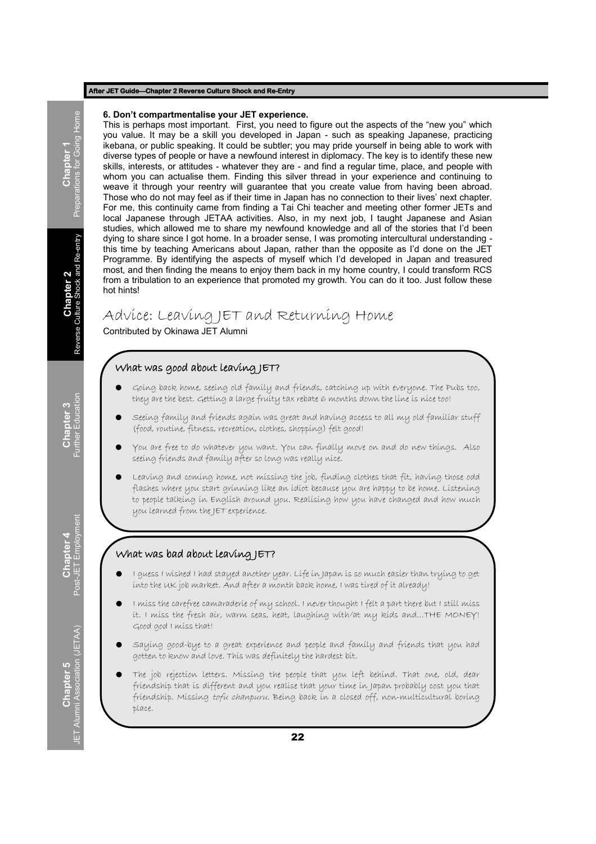#### **After JET Guide—Chapter 2 Reverse Culture Shock and Re-Entry**

#### **6. Don't compartmentalise your JET experience.**

This is perhaps most important. First, you need to figure out the aspects of the "new you" which you value. It may be a skill you developed in Japan - such as speaking Japanese, practicing ikebana, or public speaking. It could be subtler; you may pride yourself in being able to work with diverse types of people or have a newfound interest in diplomacy. The key is to identify these new skills, interests, or attitudes - whatever they are - and find a regular time, place, and people with whom you can actualise them. Finding this silver thread in your experience and continuing to weave it through your reentry will guarantee that you create value from having been abroad. Those who do not may feel as if their time in Japan has no connection to their lives' next chapter. For me, this continuity came from finding a Tai Chi teacher and meeting other former JETs and local Japanese through JETAA activities. Also, in my next job, I taught Japanese and Asian studies, which allowed me to share my newfound knowledge and all of the stories that I'd been dying to share since I got home. In a broader sense, I was promoting intercultural understanding this time by teaching Americans about Japan, rather than the opposite as I'd done on the JET Programme. By identifying the aspects of myself which I'd developed in Japan and treasured most, and then finding the means to enjoy them back in my home country, I could transform RCS from a tribulation to an experience that promoted my growth. You can do it too. Just follow these hot hints!

## Advice: Leaving JET and Returning Home

Contributed by Okinawa JET Alumni

#### What was good about leaving JET?

- Going back home, seeing old family and friends, catching up with everyone. The Pubs too, they are the best. Getting a large fruity tax rebate 6 months down the line is nice too!
- Seeing family and friends again was great and having access to all my old familiar stuff (food, routine, fitness, recreation, clothes, shopping) felt good!
- You are free to do whatever you want. You can finally move on and do new things. Also seeing friends and family after so long was really nice.
- Leaving and coming home, not missing the job, finding clothes that fit, having those odd flashes where you start grinning like an idiot because you are happy to be home. Listening to people talking in English around you. Realising how you have changed and how much you learned from the JET experience.

#### What was bad about leaving JET?

- I guess I wished I had stayed another year. Life in Japan is so much easier than trying to get into the UK job market. And after a month back home, I was tired of it already!
- I miss the carefree camaraderie of my school. I never thought I felt a part there but I still miss it. I miss the fresh air, warm seas, heat, laughing with/at my kids and…THE MONEY! Good god I miss that!
- Saying good-bye to a great experience and people and family and friends that you had gotten to know and love. This was definitely the hardest bit.
- The job rejection letters. Missing the people that you left behind. That one, old, dear friendship that is different and you realise that your time in Japan probably cost you that friendship. Missing tofu chanpuru. Being back in a closed off, non-multicultural boring place.

I<br>**Preparations for Going Home** Preparations for Going Home

**Chapter 4**<br>Post-JET Employment Post-JET Employment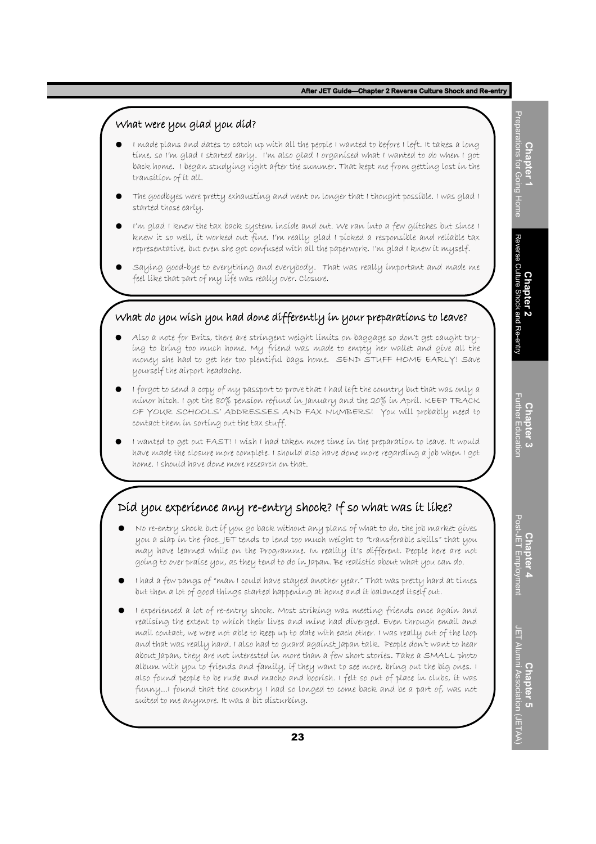#### What were you glad you did?

- I made plans and dates to catch up with all the people I wanted to before I left. It takes a long time, so I'm glad I started early. I'm also glad I organised what I wanted to do when I got back home. I began studying right after the summer. That kept me from getting lost in the transition of it all.
- The goodbyes were pretty exhausting and went on longer that I thought possible. I was glad I started those early.
- I'm glad I knew the tax back system inside and out. We ran into a few glitches but since I knew it so well, it worked out fine. I'm really glad I picked a responsible and reliable tax representative, but even she got confused with all the paperwork. I'm glad I knew it myself.
- Saying good-bye to everything and everybody. That was really important and made me feel like that part of my life was really over. Closure.

#### What do you wish you had done differently in your preparations to leave?

- Also a note for Brits, there are stringent weight limits on baggage so don't get caught trying to bring too much home. My friend was made to empty her wallet and give all the money she had to get her too plentiful bags home. SEND STUFF HOME EARLY! Save yourself the airport headache.
- I forgot to send a copy of my passport to prove that I had left the country but that was only a minor hitch. I got the 80% pension refund in January and the 20% in April. KEEP TRACK OF YOUR SCHOOLS' ADDRESSES AND FAX NUMBERS! You will probably need to contact them in sorting out the tax stuff.
- I wanted to get out FAST! I wish I had taken more time in the preparation to leave. It would have made the closure more complete. I should also have done more regarding a job when I got home. I should have done more research on that.

### Did you experience any re-entry shock? If so what was it like?

- No re-entry shock but if you go back without any plans of what to do, the job market gives you a slap in the face. JET tends to lend too much weight to "transferable skills" that you may have learned while on the Programme. In reality it's different. People here are not going to over praise you, as they tend to do in Japan. Be realistic about what you can do.
- I had a few pangs of "man I could have stayed another year." That was pretty hard at times but then a lot of good things started happening at home and it balanced itself out.
- I experienced a lot of re-entry shock. Most striking was meeting friends once again and realising the extent to which their lives and mine had diverged. Even through email and mail contact, we were not able to keep up to date with each other. I was really out of the loop and that was really hard. I also had to guard against Japan talk. People don't want to hear about Japan, they are not interested in more than a few short stories. Take a SMALL photo album with you to friends and family, if they want to see more, bring out the big ones. I also found people to be rude and macho and boorish. I felt so out of place in clubs, it was funny...I found that the country I had so longed to come back and be a part of, was not suited to me anymore. It was a bit disturbing.

Preparations for Going Home Preparations for Going Home **Chapter 1 Chapter 2**<br>Reverse Culture Shock and Re-entry Reverse Culture Shock and Re-entry

**Chapter 4**<br>Post-JET Employment Post-JET Employment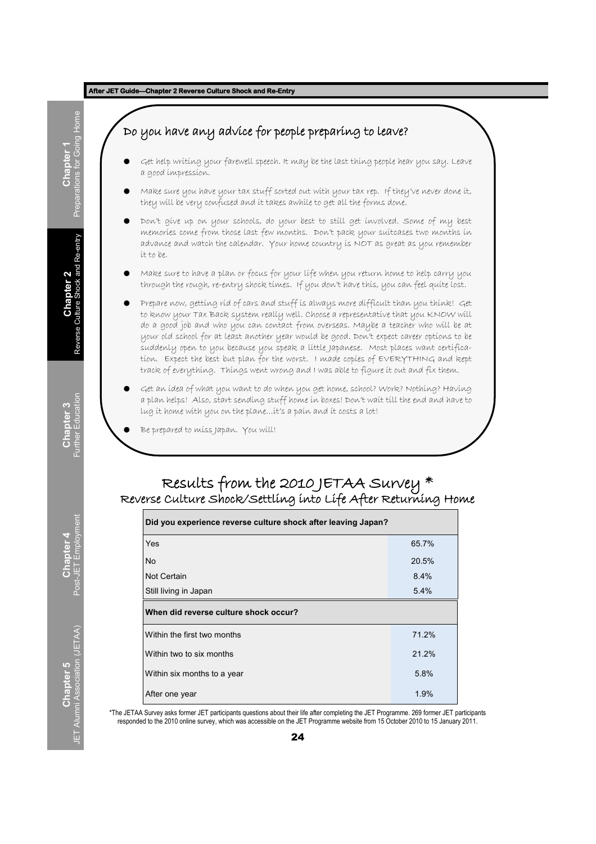